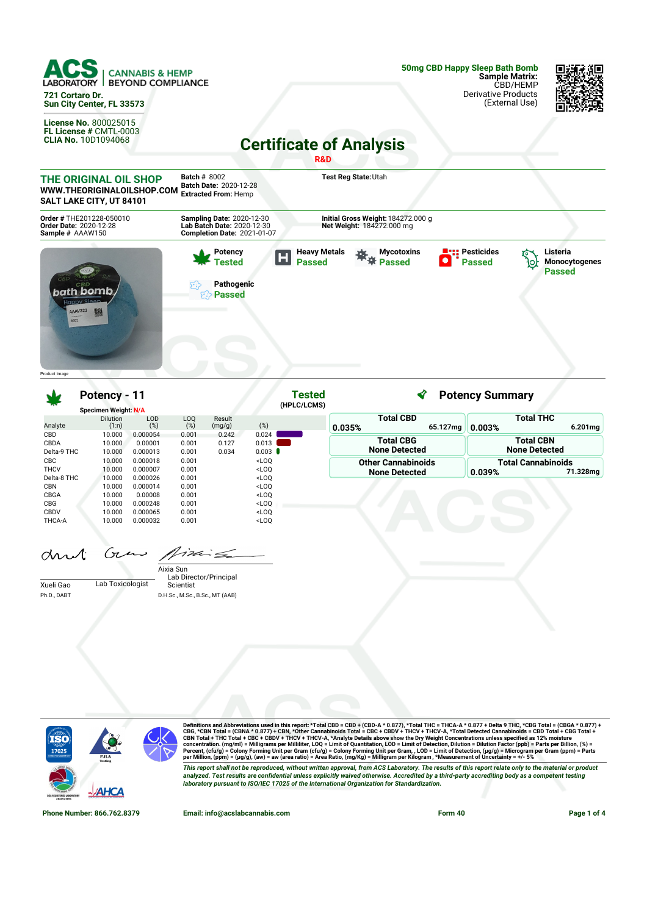

**Extracted From:** Hemp **SALT LAKE CITY, UT 84101 Order #** THE201228-050010 **Order Date:** 2020-12-28 **Sample #** AAAW150 **Sampling Date:** 2020-12-30 **Lab Batch Date:** 2020-12-30 **Initial Gross Weight:**184272.000 g **Net Weight:** 184272.000 mg **Completion Date:** 2021-01-07 **Pesticides Potency Heavy Metals 茶**茶 Passed **Mycotoxins Listeria** だ Н **Tested Passed**  $\bullet$ **Passed Monocytogenes** ło, **Passed Pathogenic** bath bomb **Passed**  $A1223$ 雞 Product Image

**Potency - 11 Tested** ∢ **Potency Summary (HPLC/LCMS) Specimen Weight: N/A Total CBD Total THC** Dilution LOD Result LOQ (%) Analyte  $(1:n)$  $(%)$  $(mg/g)$  (%) **0.035% 65.127mg 0.003% 6.201mg** CBD 10.000 0.000054 0.001 0.242 0.024<br>CBDA 10.000 0.00001 0.001 0.127 0.013 **Total CBG Total CBN** CBDA 10.000 0.00001 0.001 0.127 0.013 **None Detected None Detected** Delta-9 THC 10.000 0.000013 0.001 0.034 0.003 ●<br>CBC 10.000 0.000018 0.001 cBC <LOO CBC 10.000 0.000018 0.001 <LOQ<br>THCV 10.000 0.000007 0.001 <LOQ **Other Cannabinoids Total Cannabinoids** 0.000007 **None Detected 0.039% 71.328mg** Delta-8 THC 10.000 0.000026 0.001 <LOQ CBN 10.000 0.000014 0.001 <LOQ CBGA 10.000 0.00008 0.001 <LOQ<br>CBG 10.000 0.0000248 0.001 <LOQ CBG 10.000 0.000248<br>CBDV 10.000 0.000065 CBDV 10.000 0.000065 0.001 <LOQ THCA-A 10.000 0.000032 0.001 <LOQ

and Gras pinis

|             |                  | Aixia Sun                       |
|-------------|------------------|---------------------------------|
|             |                  | Lab Director/Principal          |
| Xueli Gao   | Lab Toxicologist | Scientist                       |
| Ph.D., DABT |                  | D.H.Sc., M.Sc., B.Sc., MT (AAB) |



Definitions and Abbreviations used in this report: \*Total CBD = CBD + (CBD-A \* 0.877), \*Total THC = THCA-A \* 0.877 + Delta 9 THC, \*CBG Total = (CBGA \* 0.877) +<br>CBG, \*CBN Total = (CBNA \* 0.877) + CBN, \*Other Cannabinois To This report shall not be reproduced, without written approval, from ACS Laboratory. The results of this report relate only to the material or product analyzed. Test results are confidential unless explicitly waived otherwise. Accredited by a third-party accrediting body as a competent testing *laboratory pursuant to ISO/IEC 17025 of the International Organization for Standardization.*

**Phone Number: 866.762.8379 Email: info@acslabcannabis.com Form 40 Page 1 of 4**

- 30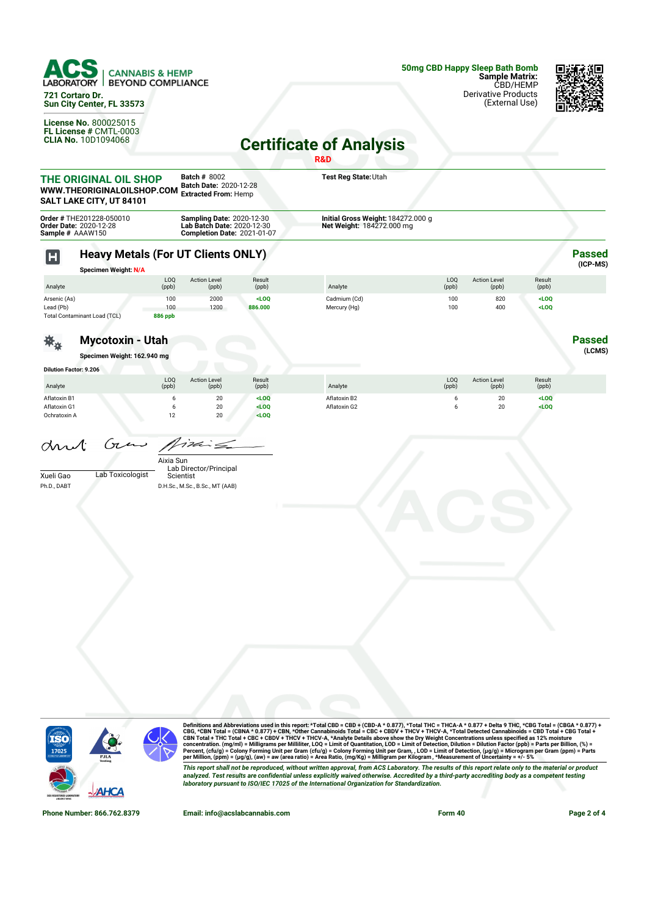

**721 Cortaro Dr. Sun City Center, FL 33573**

**License No.** 800025015 **FL License #** CMTL-0003 **CLIA No.** 10D1094068



# **Certificate of Analysis**

|                                              |                                                                                 |                               |                                                                                        |                    | R&D                                                             |              |                              |                    |                           |
|----------------------------------------------|---------------------------------------------------------------------------------|-------------------------------|----------------------------------------------------------------------------------------|--------------------|-----------------------------------------------------------------|--------------|------------------------------|--------------------|---------------------------|
|                                              | THE ORIGINAL OIL SHOP<br>WWW.THEORIGINALOILSHOP.COM<br>SALT LAKE CITY, UT 84101 |                               | <b>Batch # 8002</b><br>Batch Date: 2020-12-28<br><b>Extracted From: Hemp</b>           |                    | Test Reg State: Utah                                            |              |                              |                    |                           |
| Sample # AAAW150                             | Order # THE201228-050010<br>Order Date: 2020-12-28                              |                               | Sampling Date: 2020-12-30<br>Lab Batch Date: 2020-12-30<br>Completion Date: 2021-01-07 |                    | Initial Gross Weight: 184272.000 g<br>Net Weight: 184272.000 mg |              |                              |                    |                           |
| Η                                            | <b>Heavy Metals (For UT Clients ONLY)</b><br><b>Specimen Weight: N/A</b>        |                               |                                                                                        |                    |                                                                 |              |                              |                    | <b>Passed</b><br>(ICP-MS) |
| Analyte                                      |                                                                                 | LOQ<br>(ppb)                  | <b>Action Level</b><br>(ppb)                                                           | Result<br>(ppb)    | Analyte                                                         | LOQ<br>(ppb) | <b>Action Level</b><br>(ppb) | Result<br>(ppb)    |                           |
| Arsenic (As)<br>Lead (Pb)                    | <b>Total Contaminant Load (TCL)</b>                                             | 100<br>100<br><b>886 ppb</b>  | 2000<br>1200                                                                           | $<$ LOQ<br>886.000 | Cadmium (Cd)<br>Mercury (Hg)                                    | 100<br>100   | 820<br>400                   | $<$ LOQ<br>$<$ LOQ |                           |
|                                              | <b>Mycotoxin - Utah</b><br>Specimen Weight: 162.940 mg                          |                               |                                                                                        |                    |                                                                 |              |                              |                    | <b>Passed</b><br>(LCMS)   |
| <b>Dilution Factor: 9.206</b>                |                                                                                 |                               |                                                                                        |                    |                                                                 |              |                              |                    |                           |
| Analyte                                      |                                                                                 | LOQ<br>(ppb)                  | <b>Action Level</b><br>(ppb)                                                           | Result<br>(ppb)    | Analyte                                                         | LOQ<br>(ppb) | <b>Action Level</b><br>(ppb) | Result<br>(ppb)    |                           |
| Aflatoxin B1<br>Aflatoxin G1<br>Ochratoxin A |                                                                                 | 6<br>6<br>12                  | 20<br>20<br>20                                                                         | LOO<br>LOO<br>LOO  | Aflatoxin B2<br>Aflatoxin G2                                    | 6<br>6       | 20<br>20                     | $<$ LOQ<br>LOO     |                           |
| Mul:<br>Xueli Gao<br>Ph.D., DABT             | Gun<br>Lab Toxicologist                                                         | Aixia Sun<br><b>Scientist</b> | i<br>Lab Director/Principal<br>D.H.Sc., M.Sc., B.Sc., MT (AAB)                         |                    |                                                                 |              |                              |                    |                           |
|                                              |                                                                                 |                               |                                                                                        |                    |                                                                 |              |                              |                    |                           |



Definitions and Abbreviations used in this report: \*Total CBD = CBD + (CBD-A \* 0.877), \*Total THC = THCA-A \* 0.877 + Delta 9 THC, \*CBG Total = (CBGA \* 0.877) +<br>CBG, \*CBN Total = (CBNA \* 0.877) + CBN, \*Other Cannabinois To This report shall not be reproduced, without written approval, from ACS Laboratory. The results of this report relate only to the material or product<br>analyzed. Test results are confidential unless explicitly waived otherwi

**Phone Number: 866.762.8379 Email: info@acslabcannabis.com Form 40 Page 2 of 4**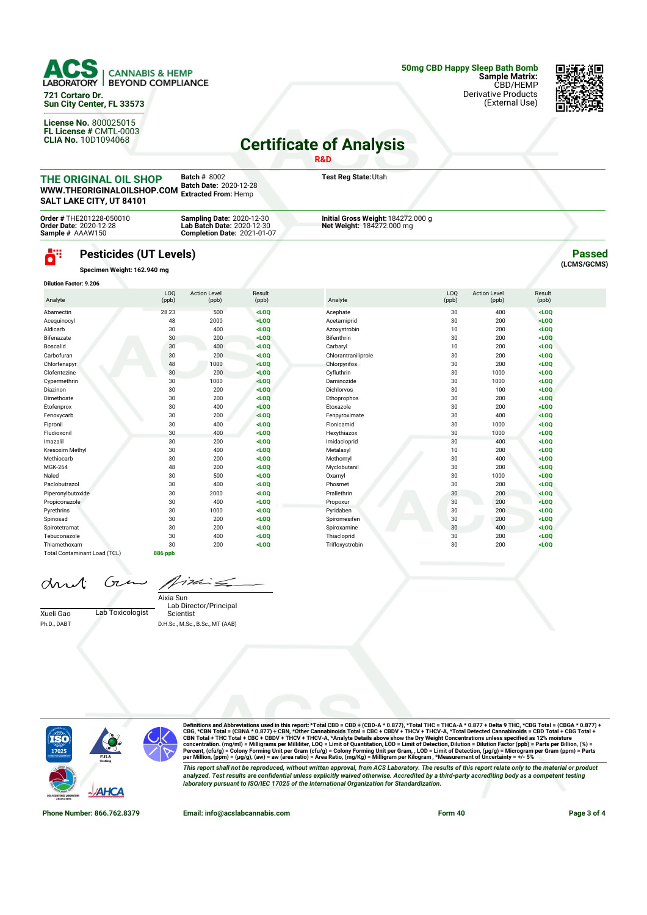### **CANNABIS & HEMP BEYOND COMPLIANCE**

**721 Cortaro Dr. Sun City Center, FL 33573**

**License No.** 800025015 **FL License #** CMTL-0003 **CLIA No.** 10D1094068



## **Certificate of Analysis**

|                                                                                                                                                                                |                                                              |                                                 |                                                                 | <b>R&amp;D</b>      |                          |                              |                 |                              |
|--------------------------------------------------------------------------------------------------------------------------------------------------------------------------------|--------------------------------------------------------------|-------------------------------------------------|-----------------------------------------------------------------|---------------------|--------------------------|------------------------------|-----------------|------------------------------|
| <b>Batch # 8002</b><br><b>THE ORIGINAL OIL SHOP</b><br><b>Batch Date: 2020-12-28</b><br>WWW.THEORIGINALOILSHOP.COM<br><b>Extracted From: Hemp</b><br>SALT LAKE CITY, UT 84101  |                                                              |                                                 | Test Reg State: Utah                                            |                     |                          |                              |                 |                              |
| Order # THE201228-050010<br><b>Sampling Date: 2020-12-30</b><br>Order Date: 2020-12-28<br>Lab Batch Date: 2020-12-30<br><b>Completion Date: 2021-01-07</b><br>Sample # AAAW150 |                                                              |                                                 | Initial Gross Weight: 184272.000 g<br>Net Weight: 184272.000 mg |                     |                          |                              |                 |                              |
| ö"<br><b>Dilution Factor: 9.206</b>                                                                                                                                            | <b>Pesticides (UT Levels)</b><br>Specimen Weight: 162.940 mg |                                                 |                                                                 |                     |                          |                              |                 | <b>Passed</b><br>(LCMS/GCMS) |
| Analyte                                                                                                                                                                        | (ppb)                                                        | L <sub>00</sub><br><b>Action Level</b><br>(ppb) | Result<br>(ppb)                                                 | Analyte             | L <sub>00</sub><br>(ppb) | <b>Action Level</b><br>(ppb) | Result<br>(ppb) |                              |
| Abamectin                                                                                                                                                                      | 28.23                                                        | 500                                             | $<$ LOQ                                                         | Acephate            | 30                       | 400                          | $<$ LOQ         |                              |
| Acequinocyl                                                                                                                                                                    |                                                              | 48<br>2000                                      | $<$ LOQ                                                         | Acetamiprid         | 30                       | 200                          | LOO             |                              |
| Aldicarb                                                                                                                                                                       |                                                              | 400<br>30                                       | LOO                                                             | Azoxystrobin        | 10                       | 200                          | LOO             |                              |
| <b>Bifenazate</b>                                                                                                                                                              |                                                              | 30<br>200                                       | $<$ LOQ                                                         | Bifenthrin          | 30                       | 200                          | $<$ LOQ         |                              |
| <b>Boscalid</b>                                                                                                                                                                |                                                              | 30<br>400                                       | $<$ LOQ                                                         | Carbaryl            | 10                       | 200                          | $<$ LOQ         |                              |
| Carbofuran                                                                                                                                                                     |                                                              | 200<br>30                                       | $<$ LOQ                                                         | Chlorantraniliprole | 30                       | 200                          | $<$ LOQ         |                              |
| Chlorfenapyr                                                                                                                                                                   |                                                              | 48<br>1000                                      | $<$ LOQ                                                         | Chlorpyrifos        | 30                       | 200                          | $<$ LOQ         |                              |
| Clofentezine                                                                                                                                                                   |                                                              | 200<br>30                                       | $<$ LOQ                                                         | Cyfluthrin          | 30                       | 1000                         | $<$ LOQ         |                              |
| Cypermethrin                                                                                                                                                                   |                                                              | 30<br>1000                                      | $<$ LOQ                                                         | Daminozide          | 30                       | 1000                         | $<$ LOQ         |                              |
| Diazinon                                                                                                                                                                       |                                                              | 30<br>200                                       | LOO                                                             | Dichlorvos          | 30                       | 100                          | $<$ LOO         |                              |
| Dimethoate                                                                                                                                                                     |                                                              | 30<br>200                                       | $<$ LOQ                                                         | Ethoprophos         | 30                       | 200                          | LOO             |                              |
| Etofenprox                                                                                                                                                                     |                                                              | 30<br>400                                       | $<$ LOO                                                         | Etoxazole           | 30                       | 200                          | LOO             |                              |
| Fenoxycarb                                                                                                                                                                     |                                                              | 200<br>30                                       | LOO                                                             | Fenpyroximate       | 30                       | 400                          | $<$ LOQ         |                              |
| Fipronil                                                                                                                                                                       |                                                              | 30<br>400                                       | $<$ LOQ                                                         | Flonicamid          | 30                       | 1000                         | $<$ LOQ         |                              |
| Fludioxonil                                                                                                                                                                    |                                                              | 30<br>400                                       | $<$ LOO                                                         | Hexythiazox         | 30                       | 1000                         | $<$ LOO         |                              |
| Imazalil                                                                                                                                                                       |                                                              | 30<br>200                                       | $<$ LOO                                                         | Imidacloprid        | 30                       | 400                          | $<$ LOO         |                              |
| Kresoxim Methyl                                                                                                                                                                |                                                              | 30<br>400                                       | $<$ LOO                                                         | Metalaxyl           | 10                       | 200                          | $<$ LOO         |                              |
| Methiocarb                                                                                                                                                                     |                                                              | 30<br>200                                       | $<$ LOQ                                                         | Methomyl            | 30                       | 400                          | $<$ LOQ         |                              |
| <b>MGK-264</b>                                                                                                                                                                 |                                                              | 48<br>200                                       | $<$ LOQ                                                         | Myclobutanil        | 30                       | 200                          | $<$ LOQ         |                              |
| Naled                                                                                                                                                                          |                                                              | 30<br>500                                       | $<$ LOO                                                         | Oxamyl              | 30                       | 1000                         | $<$ LOO         |                              |
| Paclobutrazol                                                                                                                                                                  |                                                              | 30<br>400                                       | $<$ LOO                                                         | Phosmet             | 30                       | 200                          | $<$ LOO         |                              |

Piperonylbutoxide 30 2000 **<LOQ** Prallethrin 30 200 **<LOQ** Propiconazole 30 400 **<LOQ** Propoxur 30 200 **<LOQ** Pyrethrins 30 1000 **<LOQ** Pyridaben 30 200 **<LOQ** Spinosad 30 200 **<LOQ** Spiromesifen 30 200 **<LOQ** Spirotetramat 30 200 **<LOQ** Spiroxamine 30 400 **<LOQ** Tebuconazole 30 400 **<LOQ** Thiacloprid 30 200 **<LOQ** Thiamethoxam 30 200 **<LOQ** Trifloxystrobin 30 200 **<LOQ**

drut Gτ ina  $\epsilon$ 

Total Contaminant Load (TCL) **886 ppb**

Xueli Gao Lab Toxicologist Ph.D., DABT

Lab Director/Principal Scientist Aixia Sun D.H.Sc., M.Sc., B.Sc., MT (AAB)

**TSO** 17025

Definitions and Abbreviations used in this report: \*Total CBD = CBD + (CBD-A \* 0.877), \*Total THC = THCA-A \* 0.877 + Delta 9 THC, \*CBG Total = (CBGA \* 0.877) +<br>CBG, \*CBN Total = (CBNA \* 0.877) + CBN, \*Other Cannabinois To This report shall not be reproduced, without written approval, from ACS Laboratory. The results of this report relate only to the material or product<br>analyzed. Test results are confidential unless explicitly waived otherwi *laboratory pursuant to ISO/IEC 17025 of the International Organization for Standardization.*

**Phone Number: 866.762.8379 Email: info@acslabcannabis.com Form 40 Page 3 of 4**